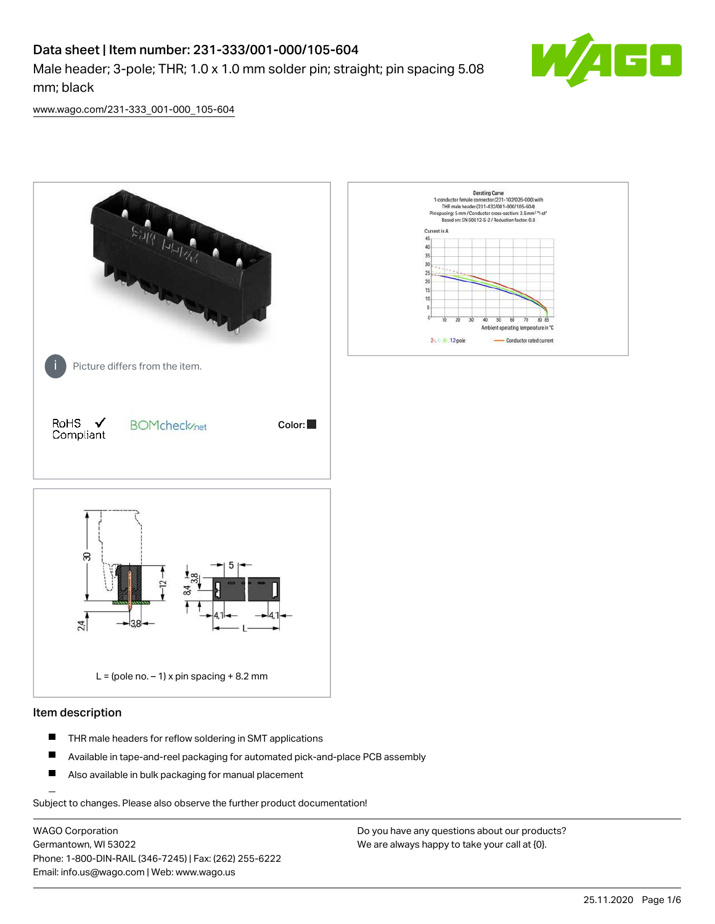# Data sheet | Item number: 231-333/001-000/105-604

Male header; 3-pole; THR; 1.0 x 1.0 mm solder pin; straight; pin spacing 5.08 mm; black



[www.wago.com/231-333\\_001-000\\_105-604](http://www.wago.com/231-333_001-000_105-604)



# Item description

- $\blacksquare$ THR male headers for reflow soldering in SMT applications
- $\blacksquare$ Available in tape-and-reel packaging for automated pick-and-place PCB assembly
- $\blacksquare$ Also available in bulk packaging for manual placement

Subject to changes. Please also observe the further product documentation!

WAGO Corporation Germantown, WI 53022 Phone: 1-800-DIN-RAIL (346-7245) | Fax: (262) 255-6222 Email: info.us@wago.com | Web: www.wago.us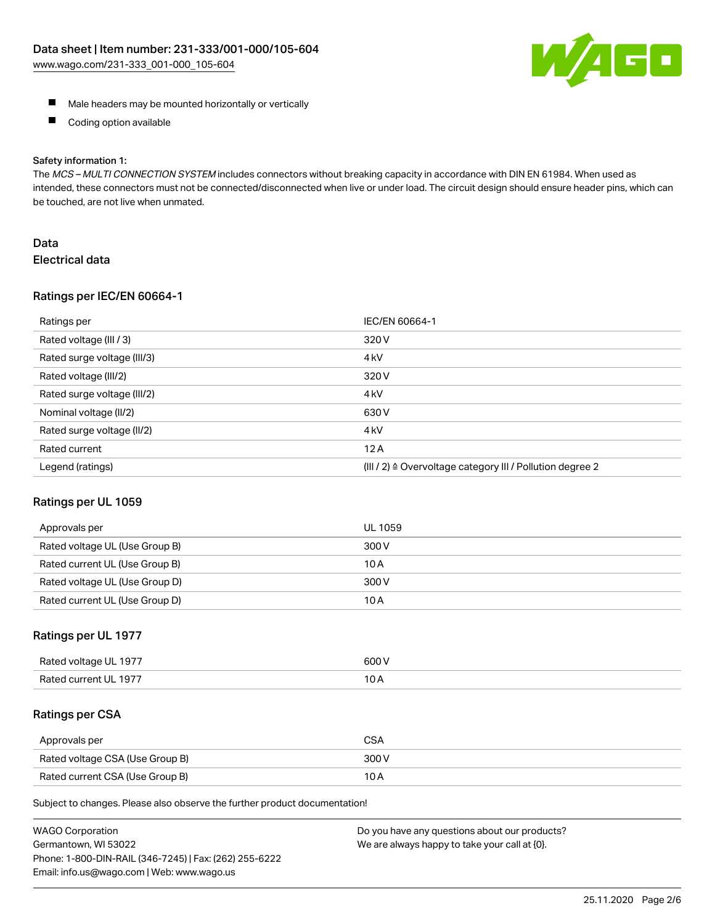

- **Male headers may be mounted horizontally or vertically**
- $\blacksquare$ Coding option available

#### Safety information 1:

The MCS - MULTI CONNECTION SYSTEM includes connectors without breaking capacity in accordance with DIN EN 61984. When used as intended, these connectors must not be connected/disconnected when live or under load. The circuit design should ensure header pins, which can be touched, are not live when unmated.

# Data Electrical data

### Ratings per IEC/EN 60664-1

| Ratings per                 | IEC/EN 60664-1                                                        |
|-----------------------------|-----------------------------------------------------------------------|
| Rated voltage (III / 3)     | 320 V                                                                 |
| Rated surge voltage (III/3) | 4 <sub>k</sub> V                                                      |
| Rated voltage (III/2)       | 320 V                                                                 |
| Rated surge voltage (III/2) | 4 <sub>k</sub> V                                                      |
| Nominal voltage (II/2)      | 630 V                                                                 |
| Rated surge voltage (II/2)  | 4 <sub>kV</sub>                                                       |
| Rated current               | 12A                                                                   |
| Legend (ratings)            | $(III / 2)$ $\triangle$ Overvoltage category III / Pollution degree 2 |

#### Ratings per UL 1059

| Approvals per                  | UL 1059 |
|--------------------------------|---------|
| Rated voltage UL (Use Group B) | 300 V   |
| Rated current UL (Use Group B) | 10 A    |
| Rated voltage UL (Use Group D) | 300 V   |
| Rated current UL (Use Group D) | 10 A    |

### Ratings per UL 1977

| Rated<br>anstlov b<br>-197.<br>ווי | ANO N |
|------------------------------------|-------|
| Rater                              | 10    |
| -197                               | IVA   |
|                                    |       |

#### Ratings per CSA

| Approvals per                   | <b>CSA</b> |
|---------------------------------|------------|
| Rated voltage CSA (Use Group B) | 300 V      |
| Rated current CSA (Use Group B) | 10 A       |

Subject to changes. Please also observe the further product documentation!

| <b>WAGO Corporation</b>                                | Do you have any questions about our products? |
|--------------------------------------------------------|-----------------------------------------------|
| Germantown, WI 53022                                   | We are always happy to take your call at {0}. |
| Phone: 1-800-DIN-RAIL (346-7245)   Fax: (262) 255-6222 |                                               |
| Email: info.us@wago.com   Web: www.wago.us             |                                               |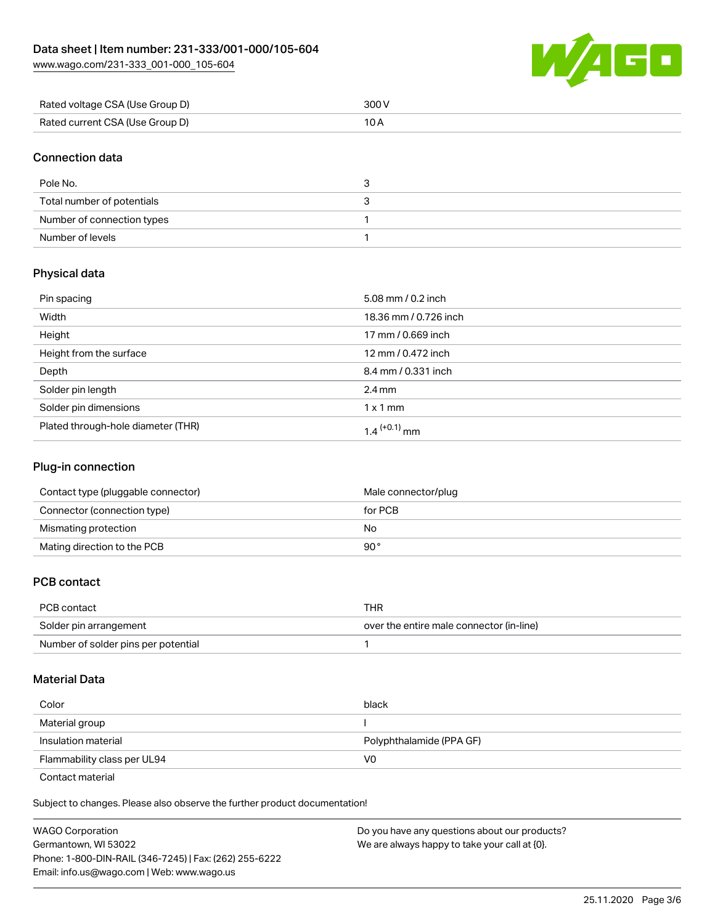[www.wago.com/231-333\\_001-000\\_105-604](http://www.wago.com/231-333_001-000_105-604)



| Rated voltage CSA (Use Group D) | 300 V |
|---------------------------------|-------|
| Rated current CSA (Use Group D) |       |

## Connection data

| Pole No.                   |  |
|----------------------------|--|
| Total number of potentials |  |
| Number of connection types |  |
| Number of levels           |  |

# Physical data

| Pin spacing                        | 5.08 mm / 0.2 inch    |
|------------------------------------|-----------------------|
| Width                              | 18.36 mm / 0.726 inch |
| Height                             | 17 mm / 0.669 inch    |
| Height from the surface            | 12 mm / 0.472 inch    |
| Depth                              | 8.4 mm / 0.331 inch   |
| Solder pin length                  | $2.4 \,\mathrm{mm}$   |
| Solder pin dimensions              | $1 \times 1$ mm       |
| Plated through-hole diameter (THR) | 1.4 $^{(+0.1)}$ mm    |

# Plug-in connection

| Contact type (pluggable connector) | Male connector/plug |
|------------------------------------|---------------------|
| Connector (connection type)        | for PCB             |
| Mismating protection               | No                  |
| Mating direction to the PCB        | 90°                 |

# PCB contact

| PCB contact                         | THR                                      |
|-------------------------------------|------------------------------------------|
| Solder pin arrangement              | over the entire male connector (in-line) |
| Number of solder pins per potential |                                          |

### Material Data

| Color                       | black                    |
|-----------------------------|--------------------------|
| Material group              |                          |
| Insulation material         | Polyphthalamide (PPA GF) |
| Flammability class per UL94 | V0                       |

Contact material

Subject to changes. Please also observe the further product documentation!  $\mathbf{E}$ 

| WAGO Corporation                                       | Do you have any questions about our products? |
|--------------------------------------------------------|-----------------------------------------------|
| Germantown. WI 53022                                   | We are always happy to take your call at {0}. |
| Phone: 1-800-DIN-RAIL (346-7245)   Fax: (262) 255-6222 |                                               |
| Email: info.us@wago.com   Web: www.wago.us             |                                               |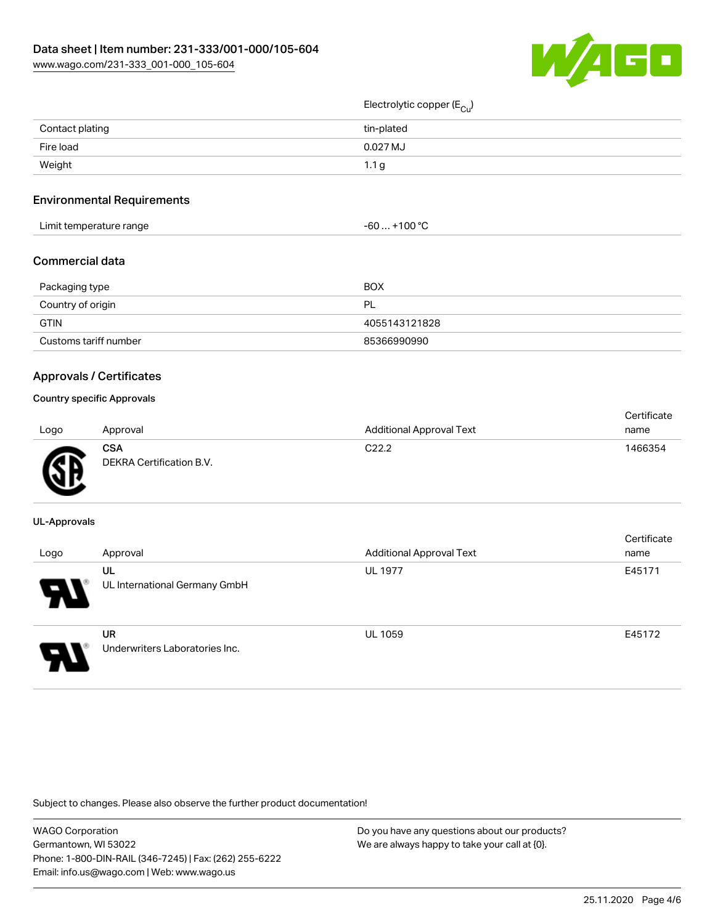

|                 | ____             |
|-----------------|------------------|
| Contact plating | tin-plated       |
| Fire load       | 0.027 MJ         |
| Weight          | 1.1 <sub>g</sub> |
|                 |                  |

# Environmental Requirements

| .<br>Limit temperature range<br>. . | .100 °C<br>-60<br>. |  |
|-------------------------------------|---------------------|--|
|-------------------------------------|---------------------|--|

### Commercial data

| Packaging type        | <b>BOX</b>    |
|-----------------------|---------------|
| Country of origin     | -PL           |
| <b>GTIN</b>           | 4055143121828 |
| Customs tariff number | 85366990990   |

### Approvals / Certificates

### Country specific Approvals

| Logo | Approval                               | <b>Additional Approval Text</b> | Certificate<br>name |
|------|----------------------------------------|---------------------------------|---------------------|
| æ    | <b>CSA</b><br>DEKRA Certification B.V. | C <sub>22.2</sub>               | 1466354             |

#### UL-Approvals

| Logo | Approval                                    | <b>Additional Approval Text</b> | Certificate<br>name |
|------|---------------------------------------------|---------------------------------|---------------------|
| 8    | UL<br>UL International Germany GmbH         | <b>UL 1977</b>                  | E45171              |
| J    | <b>UR</b><br>Underwriters Laboratories Inc. | <b>UL 1059</b>                  | E45172              |

Subject to changes. Please also observe the further product documentation!

| <b>WAGO Corporation</b>                                |
|--------------------------------------------------------|
| Germantown, WI 53022                                   |
| Phone: 1-800-DIN-RAIL (346-7245)   Fax: (262) 255-6222 |
| Email: info.us@wago.com   Web: www.wago.us             |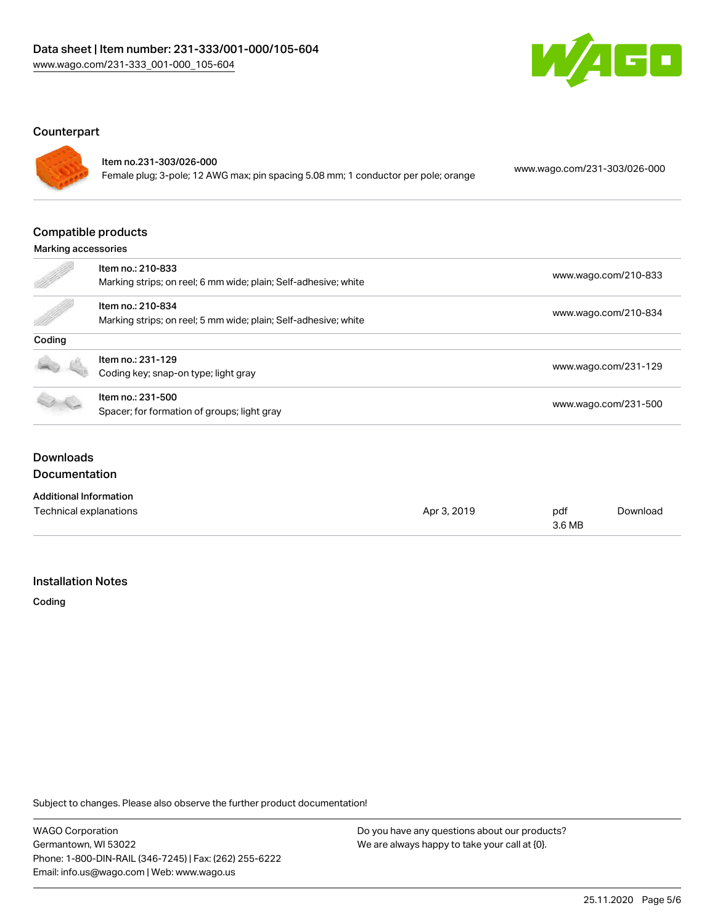

# **Counterpart**



### Item no.231-303/026-000

Female plug; 3-pole; 12 AWG max; pin spacing 5.08 mm; 1 conductor per pole; orange [www.wago.com/231-303/026-000](https://www.wago.com/231-303/026-000)

# Compatible products

| Marking accessories |
|---------------------|
|                     |
|                     |

|            | Item no.: 210-833<br>Marking strips; on reel; 6 mm wide; plain; Self-adhesive; white | www.wago.com/210-833 |
|------------|--------------------------------------------------------------------------------------|----------------------|
| <u>f</u> f | Item no.: 210-834<br>Marking strips; on reel; 5 mm wide; plain; Self-adhesive; white | www.wago.com/210-834 |
| Coding     |                                                                                      |                      |
|            | Item no.: 231-129<br>Coding key; snap-on type; light gray                            | www.wago.com/231-129 |
|            | Item no.: 231-500<br>Spacer; for formation of groups; light gray                     | www.wago.com/231-500 |

# Downloads Documentation

#### Additional Information

| Technical explanations | Apr 3, 2019 | pdf    | Download |
|------------------------|-------------|--------|----------|
|                        |             | 3.6 MB |          |

#### Installation Notes

Coding

Subject to changes. Please also observe the further product documentation!

WAGO Corporation Germantown, WI 53022 Phone: 1-800-DIN-RAIL (346-7245) | Fax: (262) 255-6222 Email: info.us@wago.com | Web: www.wago.us